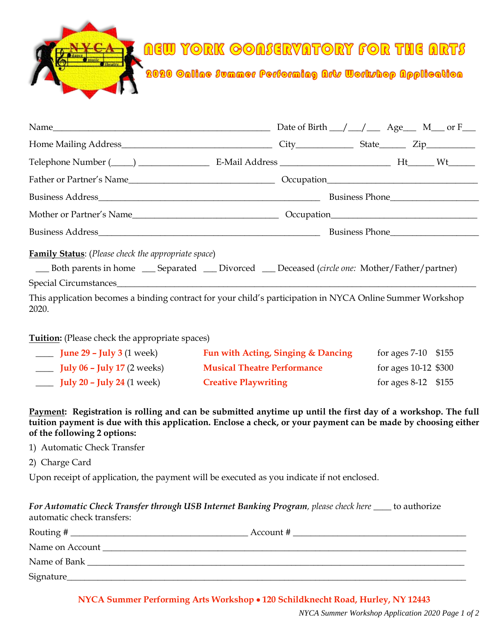**AEW YORK GOASERVATORY FOR THE ARTS** 



| Name $\_\_\_\_\_$ Name $\_\_\_\_\_$ Name $\_\_\_\_\_$ N <sub>\perimum name <math>\_\_\_\_\_</math> Date of Birth <math>\_\_\_\_\_\_\_</math> Age <math>\_\_\_\_\_</math> M <math>\_\_</math> or F</sub>                        |  |  |  |  |  |
|--------------------------------------------------------------------------------------------------------------------------------------------------------------------------------------------------------------------------------|--|--|--|--|--|
|                                                                                                                                                                                                                                |  |  |  |  |  |
|                                                                                                                                                                                                                                |  |  |  |  |  |
| Father or Partner's Name lead and Correction Cocupation Correction Cocupation Cocupation Cocupation Cocupation Cocupation Cocupation Cocupation Cocupation Cocupation Cocupation Cocupation Cocupation Cocupation Cocupation C |  |  |  |  |  |
|                                                                                                                                                                                                                                |  |  |  |  |  |
| Mother or Partner's Name                                                                                                                                                                                                       |  |  |  |  |  |
|                                                                                                                                                                                                                                |  |  |  |  |  |
| <b>Family Status:</b> (Please check the appropriate space)<br>Both parents in home _____ Separated ______ Divorced ______ Deceased (circle one: Mother/Father/partner)                                                         |  |  |  |  |  |
|                                                                                                                                                                                                                                |  |  |  |  |  |
| This application becomes a binding contract for your child's participation in NYCA Online Summer Workshop<br>2020.                                                                                                             |  |  |  |  |  |

## **Tuition:** (Please check the appropriate spaces)

| <b>June 29 – July 3</b> (1 week)   | Fun with Acting, Singing & Dancing | for ages $7-10$ \$155  |
|------------------------------------|------------------------------------|------------------------|
| <b>July 06 - July 17</b> (2 weeks) | <b>Musical Theatre Performance</b> | for ages $10-12$ \$300 |
| <b>July 20 - July 24</b> (1 week)  | <b>Creative Playwriting</b>        | for ages $8-12$ \$155  |

## **Payment: Registration is rolling and can be submitted anytime up until the first day of a workshop. The full tuition payment is due with this application. Enclose a check, or your payment can be made by choosing either of the following 2 options:**

- 1) Automatic Check Transfer
- 2) Charge Card

Upon receipt of application, the payment will be executed as you indicate if not enclosed.

## *For Automatic Check Transfer through USB Internet Banking Program, please check here* \_\_\_\_ to authorize automatic check transfers:

|                 | Account # |
|-----------------|-----------|
| Name on Account |           |
| Name of Bank    |           |
| Signature_      |           |

**NYCA Summer Performing Arts Workshop 120 Schildknecht Road, Hurley, NY 12443**